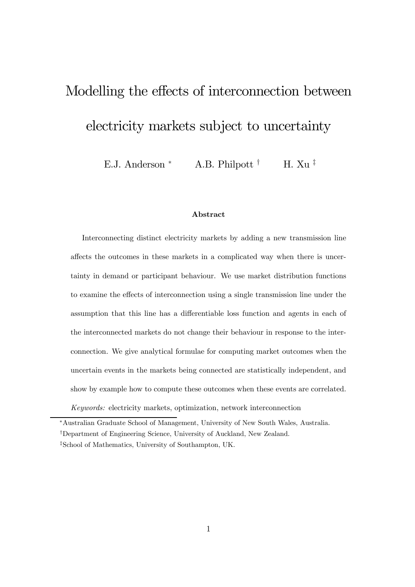# Modelling the effects of interconnection between

# electricity markets subject to uncertainty

E.J. Anderson \* A.B. Philpott  $\dagger$  H. Xu  $\ddagger$ 

#### Abstract

Interconnecting distinct electricity markets by adding a new transmission line affects the outcomes in these markets in a complicated way when there is uncertainty in demand or participant behaviour. We use market distribution functions to examine the effects of interconnection using a single transmission line under the assumption that this line has a differentiable loss function and agents in each of the interconnected markets do not change their behaviour in response to the interconnection. We give analytical formulae for computing market outcomes when the uncertain events in the markets being connected are statistically independent, and show by example how to compute these outcomes when these events are correlated.

Keywords: electricity markets, optimization, network interconnection

<sup>∗</sup>Australian Graduate School of Management, University of New South Wales, Australia.

<sup>†</sup>Department of Engineering Science, University of Auckland, New Zealand.

<sup>‡</sup>School of Mathematics, University of Southampton, UK.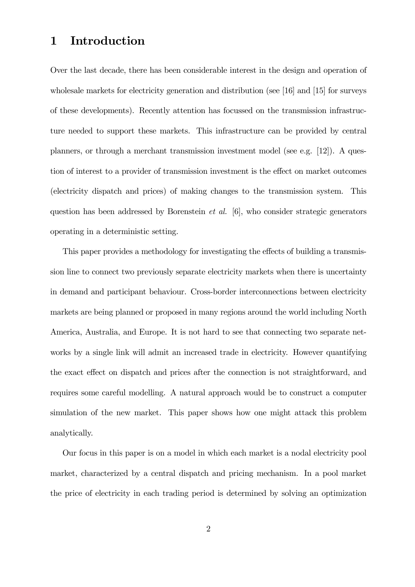### 1 Introduction

Over the last decade, there has been considerable interest in the design and operation of wholesale markets for electricity generation and distribution (see [16] and [15] for surveys of these developments). Recently attention has focussed on the transmission infrastructure needed to support these markets. This infrastructure can be provided by central planners, or through a merchant transmission investment model (see e.g. [12]). A question of interest to a provider of transmission investment is the effect on market outcomes (electricity dispatch and prices) of making changes to the transmission system. This question has been addressed by Borenstein et al. [6], who consider strategic generators operating in a deterministic setting.

This paper provides a methodology for investigating the effects of building a transmission line to connect two previously separate electricity markets when there is uncertainty in demand and participant behaviour. Cross-border interconnections between electricity markets are being planned or proposed in many regions around the world including North America, Australia, and Europe. It is not hard to see that connecting two separate networks by a single link will admit an increased trade in electricity. However quantifying the exact effect on dispatch and prices after the connection is not straightforward, and requires some careful modelling. A natural approach would be to construct a computer simulation of the new market. This paper shows how one might attack this problem analytically.

Our focus in this paper is on a model in which each market is a nodal electricity pool market, characterized by a central dispatch and pricing mechanism. In a pool market the price of electricity in each trading period is determined by solving an optimization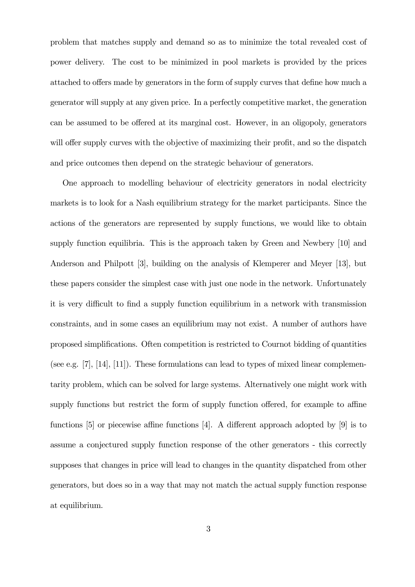problem that matches supply and demand so as to minimize the total revealed cost of power delivery. The cost to be minimized in pool markets is provided by the prices attached to offers made by generators in the form of supply curves that define how much a generator will supply at any given price. In a perfectly competitive market, the generation can be assumed to be offered at its marginal cost. However, in an oligopoly, generators will offer supply curves with the objective of maximizing their profit, and so the dispatch and price outcomes then depend on the strategic behaviour of generators.

One approach to modelling behaviour of electricity generators in nodal electricity markets is to look for a Nash equilibrium strategy for the market participants. Since the actions of the generators are represented by supply functions, we would like to obtain supply function equilibria. This is the approach taken by Green and Newbery [10] and Anderson and Philpott [3], building on the analysis of Klemperer and Meyer [13], but these papers consider the simplest case with just one node in the network. Unfortunately it is very difficult to find a supply function equilibrium in a network with transmission constraints, and in some cases an equilibrium may not exist. A number of authors have proposed simplifications. Often competition is restricted to Cournot bidding of quantities (see e.g.  $[7]$ ,  $[14]$ ,  $[11]$ ). These formulations can lead to types of mixed linear complementarity problem, which can be solved for large systems. Alternatively one might work with supply functions but restrict the form of supply function offered, for example to affine functions [5] or piecewise affine functions [4]. A different approach adopted by [9] is to assume a conjectured supply function response of the other generators - this correctly supposes that changes in price will lead to changes in the quantity dispatched from other generators, but does so in a way that may not match the actual supply function response at equilibrium.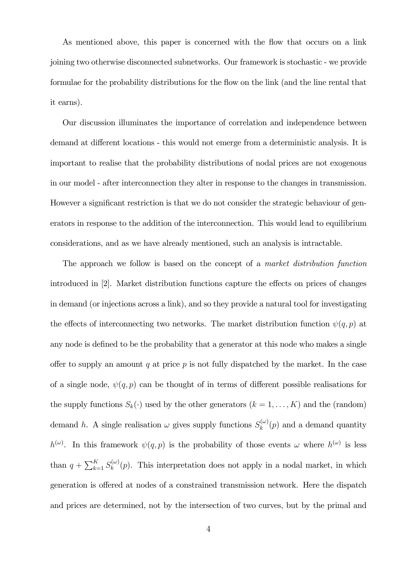As mentioned above, this paper is concerned with the flow that occurs on a link joining two otherwise disconnected subnetworks. Our framework is stochastic - we provide formulae for the probability distributions for the flow on the link (and the line rental that it earns).

Our discussion illuminates the importance of correlation and independence between demand at different locations - this would not emerge from a deterministic analysis. It is important to realise that the probability distributions of nodal prices are not exogenous in our model - after interconnection they alter in response to the changes in transmission. However a significant restriction is that we do not consider the strategic behaviour of generators in response to the addition of the interconnection. This would lead to equilibrium considerations, and as we have already mentioned, such an analysis is intractable.

The approach we follow is based on the concept of a market distribution function introduced in [2]. Market distribution functions capture the effects on prices of changes in demand (or injections across a link), and so they provide a natural tool for investigating the effects of interconnecting two networks. The market distribution function  $\psi(q, p)$  at any node is defined to be the probability that a generator at this node who makes a single offer to supply an amount q at price  $p$  is not fully dispatched by the market. In the case of a single node,  $\psi(q, p)$  can be thought of in terms of different possible realisations for the supply functions  $S_k(\cdot)$  used by the other generators  $(k = 1, ..., K)$  and the (random) demand h. A single realisation  $\omega$  gives supply functions  $S_k^{(\omega)}(p)$  and a demand quantity  $h^{(\omega)}$ . In this framework  $\psi(q, p)$  is the probability of those events  $\omega$  where  $h^{(\omega)}$  is less than  $q + \sum_{k=1}^{K} S_k^{(\omega)}(p)$ . This interpretation does not apply in a nodal market, in which generation is offered at nodes of a constrained transmission network. Here the dispatch and prices are determined, not by the intersection of two curves, but by the primal and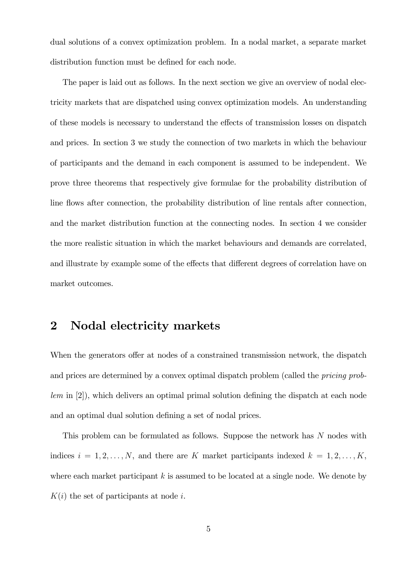dual solutions of a convex optimization problem. In a nodal market, a separate market distribution function must be defined for each node.

The paper is laid out as follows. In the next section we give an overview of nodal electricity markets that are dispatched using convex optimization models. An understanding of these models is necessary to understand the effects of transmission losses on dispatch and prices. In section 3 we study the connection of two markets in which the behaviour of participants and the demand in each component is assumed to be independent. We prove three theorems that respectively give formulae for the probability distribution of line flows after connection, the probability distribution of line rentals after connection, and the market distribution function at the connecting nodes. In section 4 we consider the more realistic situation in which the market behaviours and demands are correlated, and illustrate by example some of the effects that different degrees of correlation have on market outcomes.

### 2 Nodal electricity markets

When the generators offer at nodes of a constrained transmission network, the dispatch and prices are determined by a convex optimal dispatch problem (called the *pricing prob*lem in [2]), which delivers an optimal primal solution defining the dispatch at each node and an optimal dual solution defining a set of nodal prices.

This problem can be formulated as follows. Suppose the network has N nodes with indices  $i = 1, 2, ..., N$ , and there are K market participants indexed  $k = 1, 2, ..., K$ , where each market participant  $k$  is assumed to be located at a single node. We denote by  $K(i)$  the set of participants at node i.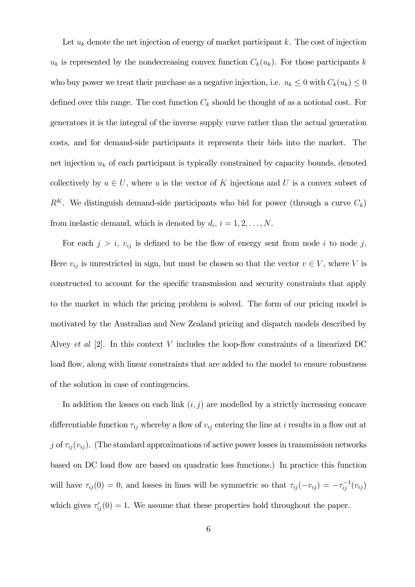Let  $u_k$  denote the net injection of energy of market participant k. The cost of injection  $u_k$  is represented by the nondecreasing convex function  $C_k(u_k)$ . For those participants k who buy power we treat their purchase as a negative injection, i.e.  $u_k \leq 0$  with  $C_k(u_k) \leq 0$ defined over this range. The cost function  $C_k$  should be thought of as a notional cost. For generators it is the integral of the inverse supply curve rather than the actual generation costs, and for demand-side participants it represents their bids into the market. The net injection  $u_k$  of each participant is typically constrained by capacity bounds, denoted collectively by  $u \in U$ , where u is the vector of K injections and U is a convex subset of  $R<sup>K</sup>$ . We distinguish demand-side participants who bid for power (through a curve  $C<sub>k</sub>$ ) from inelastic demand, which is denoted by  $d_i$ ,  $i = 1, 2, \ldots, N$ .

For each  $j>i$ ,  $v_{ij}$  is defined to be the flow of energy sent from node i to node j. Here  $v_{ij}$  is unrestricted in sign, but must be chosen so that the vector  $v \in V$ , where V is constructed to account for the specific transmission and security constraints that apply to the market in which the pricing problem is solved. The form of our pricing model is motivated by the Australian and New Zealand pricing and dispatch models described by Alvey et al [2]. In this context V includes the loop-flow constraints of a linearized DC load flow, along with linear constraints that are added to the model to ensure robustness of the solution in case of contingencies.

In addition the losses on each link  $(i, j)$  are modelled by a strictly increasing concave differentiable function  $\tau_{ij}$  whereby a flow of  $v_{ij}$  entering the line at i results in a flow out at j of  $\tau_{ij}(v_{ij})$ . (The standard approximations of active power losses in transmission networks based on DC load flow are based on quadratic loss functions.) In practice this function will have  $\tau_{ij}(0) = 0$ , and losses in lines will be symmetric so that  $\tau_{ij}(-v_{ij}) = -\tau_{ij}^{-1}(v_{ij})$ which gives  $\tau'_{ij}(0) = 1$ . We assume that these properties hold throughout the paper.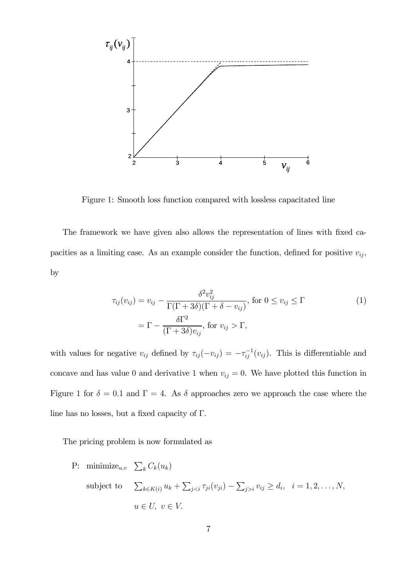

Figure 1: Smooth loss function compared with lossless capacitated line

The framework we have given also allows the representation of lines with fixed capacities as a limiting case. As an example consider the function, defined for positive  $v_{ij}$ , by

$$
\tau_{ij}(v_{ij}) = v_{ij} - \frac{\delta^2 v_{ij}^2}{\Gamma(\Gamma + 3\delta)(\Gamma + \delta - v_{ij})}, \text{ for } 0 \le v_{ij} \le \Gamma
$$
\n
$$
= \Gamma - \frac{\delta \Gamma^2}{(\Gamma + 3\delta)v_{ij}}, \text{ for } v_{ij} > \Gamma,
$$
\n(1)

with values for negative  $v_{ij}$  defined by  $\tau_{ij}(-v_{ij}) = -\tau_{ij}^{-1}(v_{ij})$ . This is differentiable and concave and has value 0 and derivative 1 when  $v_{ij} = 0$ . We have plotted this function in Figure 1 for  $\delta = 0.1$  and  $\Gamma = 4$ . As  $\delta$  approaches zero we approach the case where the line has no losses, but a fixed capacity of Γ.

The pricing problem is now formulated as

P: minimize<sub>u,v</sub>  $\sum_{k} C_k(u_k)$ subject to  $\sum_{k \in K(i)} u_k + \sum_{j < i} \tau_{ji}(v_{ji}) - \sum_{j > i} v_{ij} \ge d_i, \ \ i = 1, 2, \dots, N,$  $u \in U, v \in V.$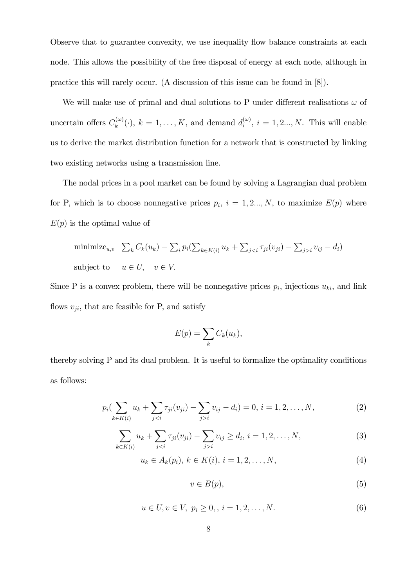Observe that to guarantee convexity, we use inequality flow balance constraints at each node. This allows the possibility of the free disposal of energy at each node, although in practice this will rarely occur. (A discussion of this issue can be found in [8]).

We will make use of primal and dual solutions to P under different realisations  $\omega$  of uncertain offers  $C_k^{(\omega)}(\cdot)$ ,  $k = 1, \ldots, K$ , and demand  $d_i^{(\omega)}$ ,  $i = 1, 2, \ldots, N$ . This will enable us to derive the market distribution function for a network that is constructed by linking two existing networks using a transmission line.

The nodal prices in a pool market can be found by solving a Lagrangian dual problem for P, which is to choose nonnegative prices  $p_i$ ,  $i = 1, 2..., N$ , to maximize  $E(p)$  where  $E(p)$  is the optimal value of

minimize<sub>u,v</sub> 
$$
\sum_k C_k(u_k) - \sum_i p_i(\sum_{k \in K(i)} u_k + \sum_{j < i} \tau_{ji}(v_{ji}) - \sum_{j > i} v_{ij} - d_i)
$$
  
subject to  $u \in U$ ,  $v \in V$ .

Since P is a convex problem, there will be nonnegative prices  $p_i$ , injections  $u_{ki}$ , and link flows  $v_{ji}$ , that are feasible for P, and satisfy

$$
E(p) = \sum_{k} C_k(u_k),
$$

thereby solving P and its dual problem. It is useful to formalize the optimality conditions as follows:

$$
p_i\left(\sum_{k\in K(i)} u_k + \sum_{ji} v_{ij} - d_i\right) = 0, \ i = 1, 2, \dots, N,
$$
 (2)

$$
\sum_{k \in K(i)} u_k + \sum_{j < i} \tau_{ji}(v_{ji}) - \sum_{j > i} v_{ij} \ge d_i, \, i = 1, 2, \dots, N,\tag{3}
$$

$$
u_k \in A_k(p_i), \, k \in K(i), \, i = 1, 2, \dots, N,\tag{4}
$$

$$
v \in B(p),\tag{5}
$$

$$
u \in U, v \in V, \ p_i \ge 0, \ i = 1, 2, \dots, N. \tag{6}
$$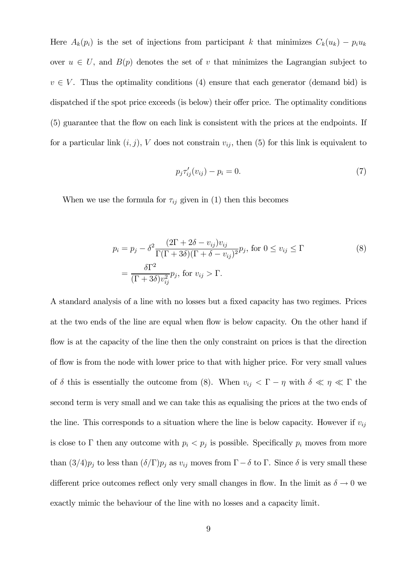Here  $A_k(p_i)$  is the set of injections from participant k that minimizes  $C_k(u_k) - p_i u_k$ over  $u \in U$ , and  $B(p)$  denotes the set of v that minimizes the Lagrangian subject to  $v \in V$ . Thus the optimality conditions (4) ensure that each generator (demand bid) is dispatched if the spot price exceeds (is below) their offer price. The optimality conditions (5) guarantee that the flow on each link is consistent with the prices at the endpoints. If for a particular link  $(i, j)$ , V does not constrain  $v_{ij}$ , then (5) for this link is equivalent to

$$
p_j \tau'_{ij}(v_{ij}) - p_i = 0. \tag{7}
$$

When we use the formula for  $\tau_{ij}$  given in (1) then this becomes

$$
p_i = p_j - \delta^2 \frac{(2\Gamma + 2\delta - v_{ij})v_{ij}}{\Gamma(\Gamma + 3\delta)(\Gamma + \delta - v_{ij})^2} p_j, \text{ for } 0 \le v_{ij} \le \Gamma
$$
  
= 
$$
\frac{\delta \Gamma^2}{(\Gamma + 3\delta)v_{ij}^2} p_j, \text{ for } v_{ij} > \Gamma.
$$
 (8)

A standard analysis of a line with no losses but a fixed capacity has two regimes. Prices at the two ends of the line are equal when flow is below capacity. On the other hand if flow is at the capacity of the line then the only constraint on prices is that the direction of flow is from the node with lower price to that with higher price. For very small values of  $\delta$  this is essentially the outcome from (8). When  $v_{ij} < \Gamma - \eta$  with  $\delta \ll \eta \ll \Gamma$  the second term is very small and we can take this as equalising the prices at the two ends of the line. This corresponds to a situation where the line is below capacity. However if  $v_{ij}$ is close to  $\Gamma$  then any outcome with  $p_i < p_j$  is possible. Specifically  $p_i$  moves from more than  $(3/4)p_j$  to less than  $(\delta/\Gamma)p_j$  as  $v_{ij}$  moves from  $\Gamma-\delta$  to  $\Gamma$ . Since  $\delta$  is very small these different price outcomes reflect only very small changes in flow. In the limit as  $\delta \to 0$  we exactly mimic the behaviour of the line with no losses and a capacity limit.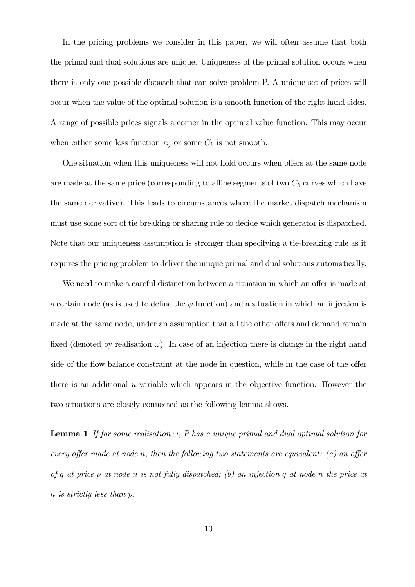In the pricing problems we consider in this paper, we will often assume that both the primal and dual solutions are unique. Uniqueness of the primal solution occurs when there is only one possible dispatch that can solve problem P. A unique set of prices will occur when the value of the optimal solution is a smooth function of the right hand sides. A range of possible prices signals a corner in the optimal value function. This may occur when either some loss function  $\tau_{ij}$  or some  $C_k$  is not smooth.

One situation when this uniqueness will not hold occurs when offers at the same node are made at the same price (corresponding to affine segments of two  $C_k$  curves which have the same derivative). This leads to circumstances where the market dispatch mechanism must use some sort of tie breaking or sharing rule to decide which generator is dispatched. Note that our uniqueness assumption is stronger than specifying a tie-breaking rule as it requires the pricing problem to deliver the unique primal and dual solutions automatically.

We need to make a careful distinction between a situation in which an offer is made at a certain node (as is used to define the  $\psi$  function) and a situation in which an injection is made at the same node, under an assumption that all the other offers and demand remain fixed (denoted by realisation  $\omega$ ). In case of an injection there is change in the right hand side of the flow balance constraint at the node in question, while in the case of the offer there is an additional  $u$  variable which appears in the objective function. However the two situations are closely connected as the following lemma shows.

**Lemma 1** If for some realisation  $\omega$ , P has a unique primal and dual optimal solution for every offer made at node n, then the following two statements are equivalent: (a) an offer of q at price p at node n is not fully dispatched; (b) an injection q at node n the price at n is strictly less than p.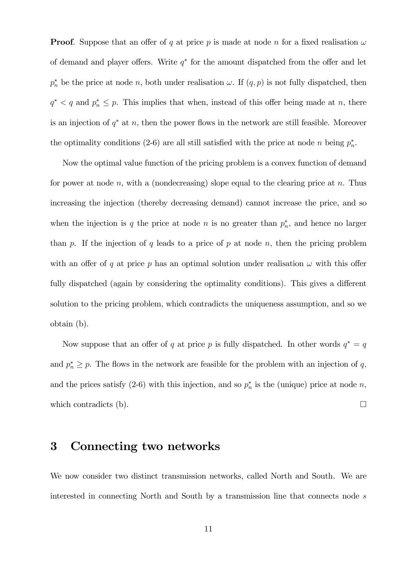**Proof.** Suppose that an offer of q at price p is made at node n for a fixed realisation  $\omega$ of demand and player offers. Write  $q^*$  for the amount dispatched from the offer and let  $p_n^*$  be the price at node n, both under realisation  $\omega$ . If  $(q, p)$  is not fully dispatched, then  $q^*$  < q and  $p_n^* \leq p$ . This implies that when, instead of this offer being made at n, there is an injection of  $q^*$  at n, then the power flows in the network are still feasible. Moreover the optimality conditions (2-6) are all still satisfied with the price at node n being  $p_n^*$ .

Now the optimal value function of the pricing problem is a convex function of demand for power at node n, with a (nondecreasing) slope equal to the clearing price at n. Thus increasing the injection (thereby decreasing demand) cannot increase the price, and so when the injection is q the price at node n is no greater than  $p_n^*$ , and hence no larger than p. If the injection of q leads to a price of p at node n, then the pricing problem with an offer of q at price p has an optimal solution under realisation  $\omega$  with this offer fully dispatched (again by considering the optimality conditions). This gives a different solution to the pricing problem, which contradicts the uniqueness assumption, and so we obtain (b).

Now suppose that an offer of q at price p is fully dispatched. In other words  $q^* = q$ and  $p_n^* \geq p$ . The flows in the network are feasible for the problem with an injection of q, and the prices satisfy  $(2-6)$  with this injection, and so  $p_n^*$  is the (unique) price at node n, which contradicts (b).  $\Box$ 

### 3 Connecting two networks

We now consider two distinct transmission networks, called North and South. We are interested in connecting North and South by a transmission line that connects node s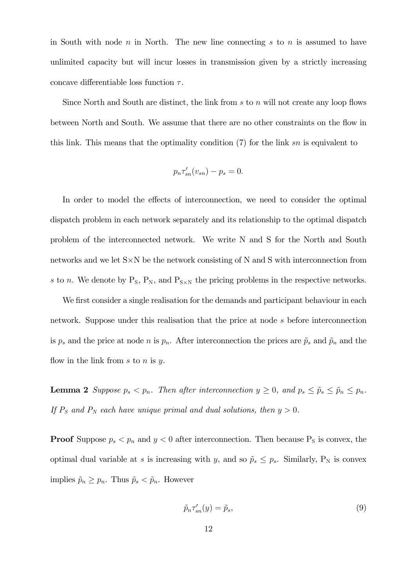in South with node  $n$  in North. The new line connecting  $s$  to  $n$  is assumed to have unlimited capacity but will incur losses in transmission given by a strictly increasing concave differentiable loss function  $\tau$ .

Since North and South are distinct, the link from s to n will not create any loop flows between North and South. We assume that there are no other constraints on the flow in this link. This means that the optimality condition  $(7)$  for the link sn is equivalent to

$$
p_n \tau'_{sn}(v_{sn}) - p_s = 0.
$$

In order to model the effects of interconnection, we need to consider the optimal dispatch problem in each network separately and its relationship to the optimal dispatch problem of the interconnected network. We write N and S for the North and South networks and we let S×N be the network consisting of N and S with interconnection from s to n. We denote by  $P_S$ ,  $P_N$ , and  $P_{S \times N}$  the pricing problems in the respective networks.

We first consider a single realisation for the demands and participant behaviour in each network. Suppose under this realisation that the price at node s before interconnection is  $p_s$  and the price at node n is  $p_n$ . After interconnection the prices are  $\tilde{p}_s$  and  $\tilde{p}_n$  and the flow in the link from  $s$  to  $n$  is  $y$ .

**Lemma 2** Suppose  $p_s < p_n$ . Then after interconnection  $y \ge 0$ , and  $p_s \le \tilde{p}_s \le \tilde{p}_n \le p_n$ . If  $P_S$  and  $P_N$  each have unique primal and dual solutions, then  $y > 0$ .

**Proof** Suppose  $p_s < p_n$  and  $y < 0$  after interconnection. Then because  $P_s$  is convex, the optimal dual variable at s is increasing with y, and so  $\tilde{p}_s \leq p_s$ . Similarly, P<sub>N</sub> is convex implies  $\tilde{p}_n \geq p_n$ . Thus  $\tilde{p}_s < \tilde{p}_n$ . However

$$
\tilde{p}_n \tau'_{sn}(y) = \tilde{p}_s,\tag{9}
$$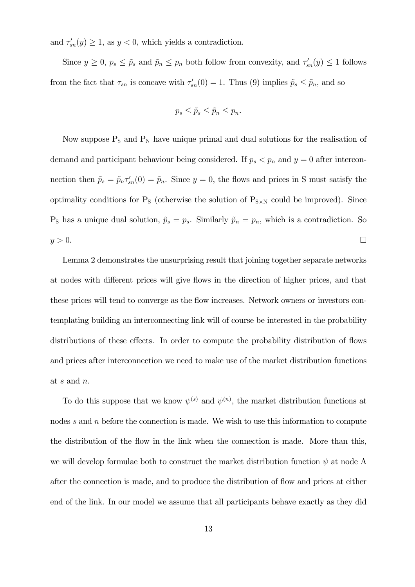and  $\tau'_{sn}(y) \geq 1$ , as  $y < 0$ , which yields a contradiction.

Since  $y \ge 0$ ,  $p_s \le \tilde{p}_s$  and  $\tilde{p}_n \le p_n$  both follow from convexity, and  $\tau'_{sn}(y) \le 1$  follows from the fact that  $\tau_{sn}$  is concave with  $\tau'_{sn}(0) = 1$ . Thus (9) implies  $\tilde{p}_s \leq \tilde{p}_n$ , and so

$$
p_s \leq \tilde{p}_s \leq \tilde{p}_n \leq p_n.
$$

Now suppose  $P_S$  and  $P_N$  have unique primal and dual solutions for the realisation of demand and participant behaviour being considered. If  $p_s < p_n$  and  $y = 0$  after interconnection then  $\tilde{p}_s = \tilde{p}_n \tau_{sn}'(0) = \tilde{p}_n$ . Since  $y = 0$ , the flows and prices in S must satisfy the optimality conditions for  $P_S$  (otherwise the solution of  $P_{S \times N}$  could be improved). Since  $P_S$  has a unique dual solution,  $\tilde{p}_s = p_s$ . Similarly  $\tilde{p}_n = p_n$ , which is a contradiction. So  $y > 0$ .

Lemma 2 demonstrates the unsurprising result that joining together separate networks at nodes with different prices will give flows in the direction of higher prices, and that these prices will tend to converge as the flow increases. Network owners or investors contemplating building an interconnecting link will of course be interested in the probability distributions of these effects. In order to compute the probability distribution of flows and prices after interconnection we need to make use of the market distribution functions at s and n.

To do this suppose that we know  $\psi^{(s)}$  and  $\psi^{(n)}$ , the market distribution functions at nodes s and n before the connection is made. We wish to use this information to compute the distribution of the flow in the link when the connection is made. More than this, we will develop formulae both to construct the market distribution function  $\psi$  at node A after the connection is made, and to produce the distribution of flow and prices at either end of the link. In our model we assume that all participants behave exactly as they did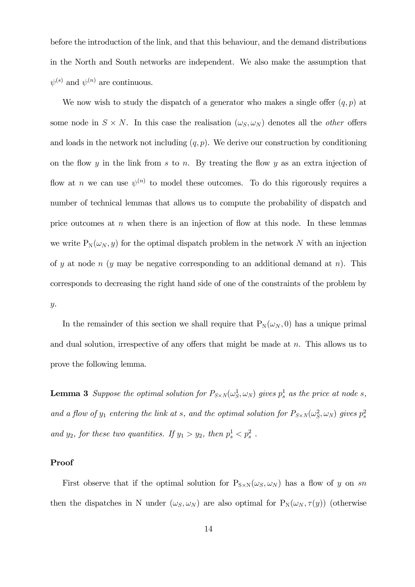before the introduction of the link, and that this behaviour, and the demand distributions in the North and South networks are independent. We also make the assumption that  $\psi^{(s)}$  and  $\psi^{(n)}$  are continuous.

We now wish to study the dispatch of a generator who makes a single offer  $(q, p)$  at some node in  $S \times N$ . In this case the realisation  $(\omega_S, \omega_N)$  denotes all the *other* offers and loads in the network not including  $(q, p)$ . We derive our construction by conditioning on the flow y in the link from s to n. By treating the flow y as an extra injection of flow at n we can use  $\psi^{(n)}$  to model these outcomes. To do this rigorously requires a number of technical lemmas that allows us to compute the probability of dispatch and price outcomes at  $n$  when there is an injection of flow at this node. In these lemmas we write  $P_N(\omega_N, y)$  for the optimal dispatch problem in the network N with an injection of y at node n (y may be negative corresponding to an additional demand at n). This corresponds to decreasing the right hand side of one of the constraints of the problem by y.

In the remainder of this section we shall require that  $P_N(\omega_N, 0)$  has a unique primal and dual solution, irrespective of any offers that might be made at  $n$ . This allows us to prove the following lemma.

**Lemma 3** Suppose the optimal solution for  $P_{S \times N}(\omega_S^1, \omega_N)$  gives  $p_s^1$  as the price at node s, and a flow of  $y_1$  entering the link at s, and the optimal solution for  $P_{S\times N}(\omega_S^2,\omega_N)$  gives  $p_s^2$ and  $y_2$ , for these two quantities. If  $y_1 > y_2$ , then  $p_s^1 < p_s^2$ .

#### Proof

First observe that if the optimal solution for  $P_{S\times N}(\omega_S, \omega_N)$  has a flow of y on sn then the dispatches in N under  $(\omega_S, \omega_N)$  are also optimal for  $P_N(\omega_N, \tau(y))$  (otherwise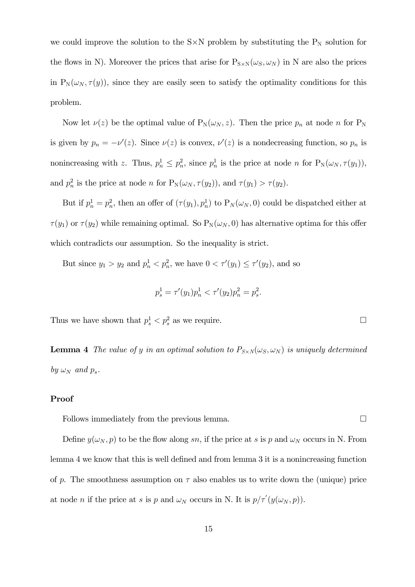we could improve the solution to the  $S \times N$  problem by substituting the  $P_N$  solution for the flows in N). Moreover the prices that arise for  $P_{S\times N}(\omega_S, \omega_N)$  in N are also the prices in  $P_N(\omega_N, \tau(y))$ , since they are easily seen to satisfy the optimality conditions for this problem.

Now let  $\nu(z)$  be the optimal value of  $P_N(\omega_N, z)$ . Then the price  $p_n$  at node n for  $P_N$ is given by  $p_n = -\nu'(z)$ . Since  $\nu(z)$  is convex,  $\nu'(z)$  is a nondecreasing function, so  $p_n$  is nonincreasing with z. Thus,  $p_n^1 \leq p_n^2$ , since  $p_n^1$  is the price at node n for  $P_N(\omega_N, \tau(y_1)),$ and  $p_n^2$  is the price at node n for  $P_N(\omega_N, \tau(y_2))$ , and  $\tau(y_1) > \tau(y_2)$ .

But if  $p_n^1 = p_n^2$ , then an offer of  $(\tau(y_1), p_n^1)$  to  $P_N(\omega_N, 0)$  could be dispatched either at  $\tau(y_1)$  or  $\tau(y_2)$  while remaining optimal. So  $P_N(\omega_N, 0)$  has alternative optima for this offer which contradicts our assumption. So the inequality is strict.

But since  $y_1 > y_2$  and  $p_n^1 < p_n^2$ , we have  $0 < \tau'(y_1) \leq \tau'(y_2)$ , and so

$$
p_s^1 = \tau'(y_1) p_n^1 < \tau'(y_2) p_n^2 = p_s^2.
$$

Thus we have shown that  $p_s^1 < p_s^2$  as we require.

**Lemma 4** The value of y in an optimal solution to  $P_{S \times N}(\omega_S, \omega_N)$  is uniquely determined by  $\omega_N$  and  $p_s$ .

#### Proof

Follows immediately from the previous lemma.  $\Box$ 

Define  $y(\omega_N, p)$  to be the flow along sn, if the price at s is p and  $\omega_N$  occurs in N. From lemma 4 we know that this is well defined and from lemma 3 it is a nonincreasing function of p. The smoothness assumption on  $\tau$  also enables us to write down the (unique) price at node *n* if the price at *s* is *p* and  $\omega_N$  occurs in N. It is  $p/\tau'(y(\omega_N, p))$ .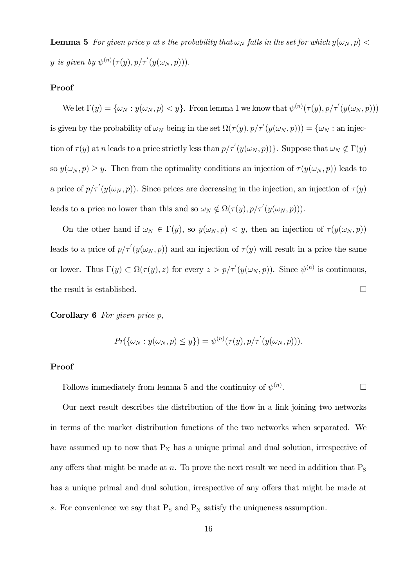**Lemma 5** For given price p at s the probability that  $\omega_N$  falls in the set for which  $y(\omega_N, p)$ y is given by  $\psi^{(n)}(\tau(y), p/\tau'(y(\omega_N, p))).$ 

#### Proof

We let  $\Gamma(y) = {\omega_N : y(\omega_N, p) < y}$ . From lemma 1 we know that  $\psi^{(n)}(\tau(y), p/\tau'(y(\omega_N, p)))$ is given by the probability of  $\omega_N$  being in the set  $\Omega(\tau(y), p/\tau'(y(\omega_N, p))) = {\omega_N : \text{an inject}}$ tion of  $\tau(y)$  at n leads to a price strictly less than  $p/\tau'(y(\omega_N, p))$ . Suppose that  $\omega_N \notin \Gamma(y)$ so  $y(\omega_N, p) \geq y$ . Then from the optimality conditions an injection of  $\tau(y(\omega_N, p))$  leads to a price of  $p/\tau'(y(\omega_N, p))$ . Since prices are decreasing in the injection, an injection of  $\tau(y)$ leads to a price no lower than this and so  $\omega_N \notin \Omega(\tau(y), p/\tau'(y(\omega_N, p))).$ 

On the other hand if  $\omega_N \in \Gamma(y)$ , so  $y(\omega_N, p) < y$ , then an injection of  $\tau(y(\omega_N, p))$ leads to a price of  $p/\tau'(y(\omega_N, p))$  and an injection of  $\tau(y)$  will result in a price the same or lower. Thus  $\Gamma(y) \subset \Omega(\tau(y), z)$  for every  $z > p/\tau'(y(\omega_N, p))$ . Since  $\psi^{(n)}$  is continuous, the result is established.  $\Box$ 

**Corollary 6** For given price  $p$ ,

$$
Pr(\{\omega_N : y(\omega_N, p) \leq y\}) = \psi^{(n)}(\tau(y), p/\tau'(y(\omega_N, p))).
$$

#### Proof

Follows immediately from lemma 5 and the continuity of  $\psi^{(n)}$ . .  $\Box$ 

Our next result describes the distribution of the flow in a link joining two networks in terms of the market distribution functions of the two networks when separated. We have assumed up to now that  $P_N$  has a unique primal and dual solution, irrespective of any offers that might be made at n. To prove the next result we need in addition that  $P<sub>S</sub>$ has a unique primal and dual solution, irrespective of any offers that might be made at s. For convenience we say that  $P_S$  and  $P_N$  satisfy the uniqueness assumption.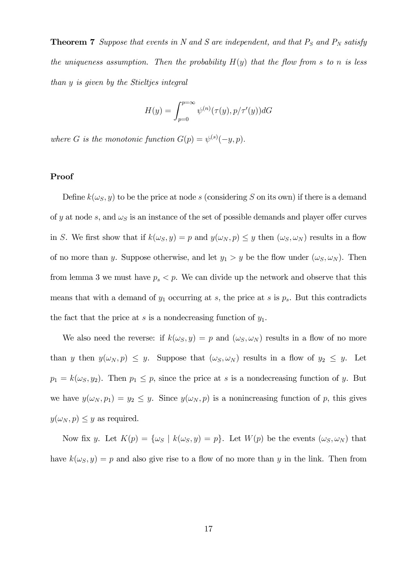**Theorem 7** Suppose that events in N and S are independent, and that  $P_S$  and  $P_N$  satisfy the uniqueness assumption. Then the probability  $H(y)$  that the flow from s to n is less than y is given by the Stieltjes integral

$$
H(y) = \int_{p=0}^{p=\infty} \psi^{(n)}(\tau(y), p/\tau'(y))dG
$$

where G is the monotonic function  $G(p) = \psi^{(s)}(-y, p)$ .

#### Proof

Define  $k(\omega_s, y)$  to be the price at node s (considering S on its own) if there is a demand of y at node s, and  $\omega_s$  is an instance of the set of possible demands and player offer curves in S. We first show that if  $k(\omega_S, y) = p$  and  $y(\omega_N, p) \leq y$  then  $(\omega_S, \omega_N)$  results in a flow of no more than y. Suppose otherwise, and let  $y_1 > y$  be the flow under  $(\omega_S, \omega_N)$ . Then from lemma 3 we must have  $p_s < p$ . We can divide up the network and observe that this means that with a demand of  $y_1$  occurring at s, the price at s is  $p_s$ . But this contradicts the fact that the price at s is a nondecreasing function of  $y_1$ .

We also need the reverse: if  $k(\omega_S, y) = p$  and  $(\omega_S, \omega_N)$  results in a flow of no more than y then  $y(\omega_N, p) \leq y$ . Suppose that  $(\omega_S, \omega_N)$  results in a flow of  $y_2 \leq y$ . Let  $p_1 = k(\omega_s, y_2)$ . Then  $p_1 \leq p$ , since the price at s is a nondecreasing function of y. But we have  $y(\omega_N, p_1) = y_2 \leq y$ . Since  $y(\omega_N, p)$  is a nonincreasing function of p, this gives  $y(\omega_N, p) \leq y$  as required.

Now fix y. Let  $K(p) = {\omega_S \mid k(\omega_S, y) = p}$ . Let  $W(p)$  be the events  $(\omega_S, \omega_N)$  that have  $k(\omega_S, y) = p$  and also give rise to a flow of no more than y in the link. Then from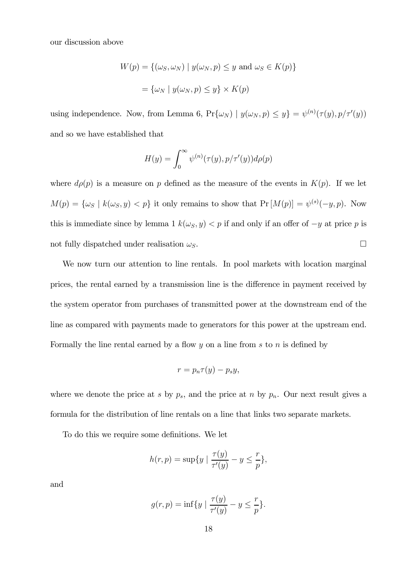our discussion above

$$
W(p) = \{(\omega_S, \omega_N) \mid y(\omega_N, p) \le y \text{ and } \omega_S \in K(p)\}
$$

$$
= \{\omega_N \mid y(\omega_N, p) \le y\} \times K(p)
$$

using independence. Now, from Lemma 6,  $Pr{\{\omega_N\}} \mid y(\omega_N, p) \leq y} = \psi^{(n)}(\tau(y), p/\tau'(y))$ and so we have established that

$$
H(y) = \int_0^\infty \psi^{(n)}(\tau(y), p/\tau'(y))d\rho(p)
$$

where  $d\rho(p)$  is a measure on p defined as the measure of the events in  $K(p)$ . If we let  $M(p) = \{\omega_S \mid k(\omega_S, y) < p\}$  it only remains to show that  $Pr[M(p)] = \psi^{(s)}(-y, p)$ . Now this is immediate since by lemma 1  $k(\omega_S, y) < p$  if and only if an offer of  $-y$  at price p is not fully dispatched under realisation  $\omega_{S}$ .

We now turn our attention to line rentals. In pool markets with location marginal prices, the rental earned by a transmission line is the difference in payment received by the system operator from purchases of transmitted power at the downstream end of the line as compared with payments made to generators for this power at the upstream end. Formally the line rental earned by a flow  $y$  on a line from  $s$  to  $n$  is defined by

$$
r = p_n \tau(y) - p_s y,
$$

where we denote the price at s by  $p_s$ , and the price at n by  $p_n$ . Our next result gives a formula for the distribution of line rentals on a line that links two separate markets.

To do this we require some definitions. We let

$$
h(r,p) = \sup\{y \mid \frac{\tau(y)}{\tau'(y)} - y \le \frac{r}{p}\},\
$$

and

$$
g(r,p) = \inf\{y \mid \frac{\tau(y)}{\tau'(y)} - y \leq \frac{r}{p}\}.
$$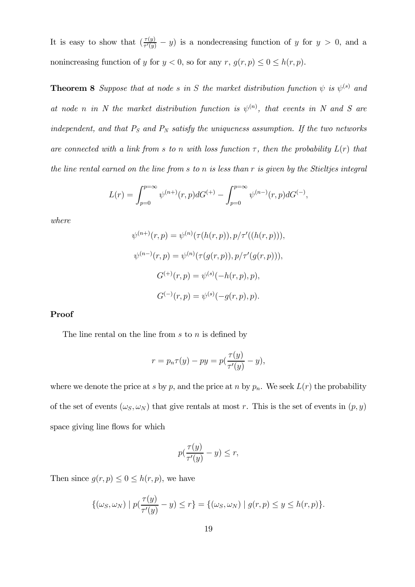It is easy to show that  $\left(\frac{\tau(y)}{\tau'(y)} - y\right)$  is a nondecreasing function of y for  $y > 0$ , and a nonincreasing function of y for  $y < 0$ , so for any  $r, g(r, p) \leq 0 \leq h(r, p)$ .

**Theorem 8** Suppose that at node s in S the market distribution function  $\psi$  is  $\psi^{(s)}$  and at node n in N the market distribution function is  $\psi^{(n)}$ , that events in N and S are independent, and that  $P_S$  and  $P_N$  satisfy the uniqueness assumption. If the two networks are connected with a link from s to n with loss function  $\tau$ , then the probability  $L(r)$  that the line rental earned on the line from s to n is less than r is given by the Stieltjes integral

$$
L(r) = \int_{p=0}^{p=\infty} \psi^{(n+)}(r, p) dG^{(+)} - \int_{p=0}^{p=\infty} \psi^{(n-)}(r, p) dG^{(-)},
$$

where

$$
\psi^{(n+)}(r,p) = \psi^{(n)}(\tau(h(r,p)), p/\tau'((h(r,p))),
$$
  

$$
\psi^{(n-)}(r,p) = \psi^{(n)}(\tau(g(r,p)), p/\tau'(g(r,p))),
$$
  

$$
G^{(+)}(r,p) = \psi^{(s)}(-h(r,p), p),
$$
  

$$
G^{(-)}(r,p) = \psi^{(s)}(-g(r,p), p).
$$

#### Proof

The line rental on the line from  $s$  to  $n$  is defined by

$$
r = p_n \tau(y) - py = p\left(\frac{\tau(y)}{\tau'(y)} - y\right),
$$

where we denote the price at s by p, and the price at n by  $p_n$ . We seek  $L(r)$  the probability of the set of events  $(\omega_S, \omega_N)$  that give rentals at most r. This is the set of events in  $(p, y)$ space giving line flows for which

$$
p(\frac{\tau(y)}{\tau'(y)} - y) \le r,
$$

Then since  $g(r, p) \leq 0 \leq h(r, p)$ , we have

$$
\{(\omega_S, \omega_N) \mid p(\frac{\tau(y)}{\tau'(y)} - y) \le r\} = \{(\omega_S, \omega_N) \mid g(r, p) \le y \le h(r, p)\}.
$$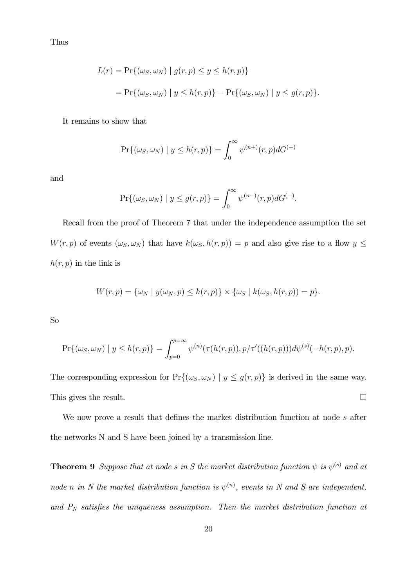Thus

$$
L(r) = \Pr\{(\omega_S, \omega_N) \mid g(r, p) \le y \le h(r, p)\}
$$
  
= 
$$
\Pr\{(\omega_S, \omega_N) \mid y \le h(r, p)\} - \Pr\{(\omega_S, \omega_N) \mid y \le g(r, p)\}.
$$

It remains to show that

$$
\Pr\{(\omega_S, \omega_N) \mid y \le h(r, p)\} = \int_0^\infty \psi^{(n+)}(r, p) dG^{(+)}
$$

and

$$
\Pr\{(\omega_S, \omega_N) \mid y \le g(r, p)\} = \int_0^\infty \psi^{(n-)}(r, p) dG^{(-)}.
$$

Recall from the proof of Theorem 7 that under the independence assumption the set  $W(r, p)$  of events  $(\omega_S, \omega_N)$  that have  $k(\omega_S, h(r, p)) = p$  and also give rise to a flow  $y \leq$  $h(r, p)$  in the link is

$$
W(r,p) = \{\omega_N \mid y(\omega_N, p) \le h(r,p)\} \times \{\omega_S \mid k(\omega_S, h(r,p)) = p\}.
$$

So

$$
\Pr\{(\omega_S, \omega_N) \mid y \le h(r, p)\} = \int_{p=0}^{p=\infty} \psi^{(n)}(\tau(h(r, p)), p/\tau'((h(r, p))) d\psi^{(s)}(-h(r, p), p).
$$

The corresponding expression for  $Pr\{(\omega_S, \omega_N) | y \le g(r, p)\}\$ is derived in the same way. This gives the result.  $\Box$ 

We now prove a result that defines the market distribution function at node s after the networks N and S have been joined by a transmission line.

**Theorem 9** Suppose that at node s in S the market distribution function  $\psi$  is  $\psi^{(s)}$  and at node n in N the market distribution function is  $\psi^{(n)}$ , events in N and S are independent, and  $P_N$  satisfies the uniqueness assumption. Then the market distribution function at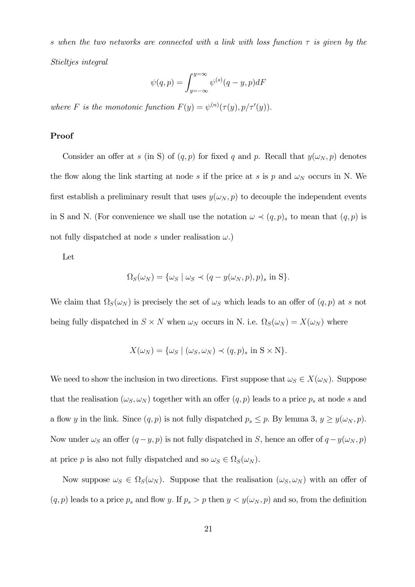s when the two networks are connected with a link with loss function  $\tau$  is given by the Stieltjes integral

$$
\psi(q,p) = \int_{y=-\infty}^{y=\infty} \psi^{(s)}(q-y,p)dF
$$

where F is the monotonic function  $F(y) = \psi^{(n)}(\tau(y), p/\tau'(y)).$ 

#### Proof

Consider an offer at s (in S) of  $(q, p)$  for fixed q and p. Recall that  $y(\omega_N, p)$  denotes the flow along the link starting at node s if the price at s is p and  $\omega_N$  occurs in N. We first establish a preliminary result that uses  $y(\omega_N, p)$  to decouple the independent events in S and N. (For convenience we shall use the notation  $\omega \prec (q, p)_s$  to mean that  $(q, p)$  is not fully dispatched at node s under realisation  $\omega$ .)

Let

$$
\Omega_S(\omega_N) = \{\omega_S \mid \omega_S \prec (q - y(\omega_N, p), p)_s \text{ in } S \}.
$$

We claim that  $\Omega_S(\omega_N)$  is precisely the set of  $\omega_S$  which leads to an offer of  $(q, p)$  at s not being fully dispatched in  $S \times N$  when  $\omega_N$  occurs in N. i.e.  $\Omega_S(\omega_N) = X(\omega_N)$  where

$$
X(\omega_N) = \{\omega_S \mid (\omega_S, \omega_N) \prec (q, p)_s \text{ in } S \times N\}.
$$

We need to show the inclusion in two directions. First suppose that  $\omega_S \in X(\omega_N)$ . Suppose that the realisation  $(\omega_S, \omega_N)$  together with an offer  $(q, p)$  leads to a price  $p_s$  at node s and a flow y in the link. Since  $(q, p)$  is not fully dispatched  $p_s \leq p$ . By lemma 3,  $y \geq y(\omega_N, p)$ . Now under  $\omega_S$  an offer  $(q - y, p)$  is not fully dispatched in S, hence an offer of  $q - y(\omega_N, p)$ at price p is also not fully dispatched and so  $\omega_S \in \Omega_S(\omega_N)$ .

Now suppose  $\omega_S \in \Omega_S(\omega_N)$ . Suppose that the realisation  $(\omega_S, \omega_N)$  with an offer of  $(q, p)$  leads to a price  $p_s$  and flow y. If  $p_s > p$  then  $y < y(\omega_N, p)$  and so, from the definition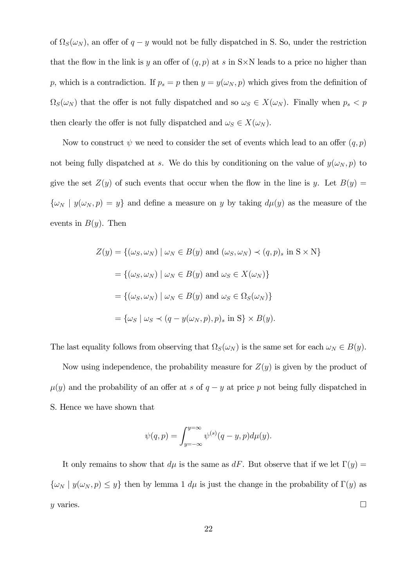of  $\Omega_S(\omega_N)$ , an offer of  $q - y$  would not be fully dispatched in S. So, under the restriction that the flow in the link is y an offer of  $(q, p)$  at s in S $\times$ N leads to a price no higher than p, which is a contradiction. If  $p_s = p$  then  $y = y(\omega_N, p)$  which gives from the definition of  $\Omega_S(\omega_N)$  that the offer is not fully dispatched and so  $\omega_S \in X(\omega_N)$ . Finally when  $p_s < p$ then clearly the offer is not fully dispatched and  $\omega_S \in X(\omega_N)$ .

Now to construct  $\psi$  we need to consider the set of events which lead to an offer  $(q, p)$ not being fully dispatched at s. We do this by conditioning on the value of  $y(\omega_N, p)$  to give the set  $Z(y)$  of such events that occur when the flow in the line is y. Let  $B(y) =$  $\{\omega_N \mid y(\omega_N, p) = y\}$  and define a measure on y by taking  $d\mu(y)$  as the measure of the events in  $B(y)$ . Then

$$
Z(y) = \{(\omega_S, \omega_N) \mid \omega_N \in B(y) \text{ and } (\omega_S, \omega_N) \prec (q, p)_s \text{ in } S \times N\}
$$
  
=  $\{(\omega_S, \omega_N) \mid \omega_N \in B(y) \text{ and } \omega_S \in X(\omega_N)\}$   
=  $\{(\omega_S, \omega_N) \mid \omega_N \in B(y) \text{ and } \omega_S \in \Omega_S(\omega_N)\}$   
=  $\{\omega_S \mid \omega_S \prec (q - y(\omega_N, p), p)_s \text{ in } S\} \times B(y).$ 

The last equality follows from observing that  $\Omega_S(\omega_N)$  is the same set for each  $\omega_N \in B(y)$ .

Now using independence, the probability measure for  $Z(y)$  is given by the product of  $\mu(y)$  and the probability of an offer at s of  $q - y$  at price p not being fully dispatched in S. Hence we have shown that

$$
\psi(q,p) = \int_{y=-\infty}^{y=\infty} \psi^{(s)}(q-y,p)d\mu(y).
$$

It only remains to show that  $d\mu$  is the same as dF. But observe that if we let  $\Gamma(y) =$  $\{\omega_N \mid y(\omega_N, p) \leq y\}$  then by lemma 1  $d\mu$  is just the change in the probability of  $\Gamma(y)$  as y varies.  $\Box$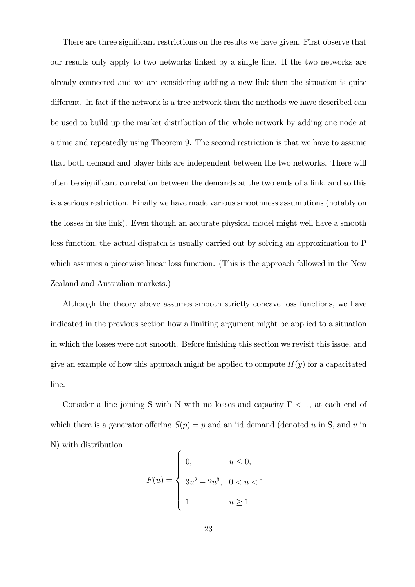There are three significant restrictions on the results we have given. First observe that our results only apply to two networks linked by a single line. If the two networks are already connected and we are considering adding a new link then the situation is quite different. In fact if the network is a tree network then the methods we have described can be used to build up the market distribution of the whole network by adding one node at a time and repeatedly using Theorem 9. The second restriction is that we have to assume that both demand and player bids are independent between the two networks. There will often be significant correlation between the demands at the two ends of a link, and so this is a serious restriction. Finally we have made various smoothness assumptions (notably on the losses in the link). Even though an accurate physical model might well have a smooth loss function, the actual dispatch is usually carried out by solving an approximation to P which assumes a piecewise linear loss function. (This is the approach followed in the New Zealand and Australian markets.)

Although the theory above assumes smooth strictly concave loss functions, we have indicated in the previous section how a limiting argument might be applied to a situation in which the losses were not smooth. Before finishing this section we revisit this issue, and give an example of how this approach might be applied to compute  $H(y)$  for a capacitated line.

Consider a line joining S with N with no losses and capacity  $\Gamma$  < 1, at each end of which there is a generator offering  $S(p) = p$  and an iid demand (denoted u in S, and v in N) with distribution

$$
F(u) = \begin{cases} 0, & u \le 0, \\ 3u^2 - 2u^3, & 0 < u < 1, \\ 1, & u \ge 1. \end{cases}
$$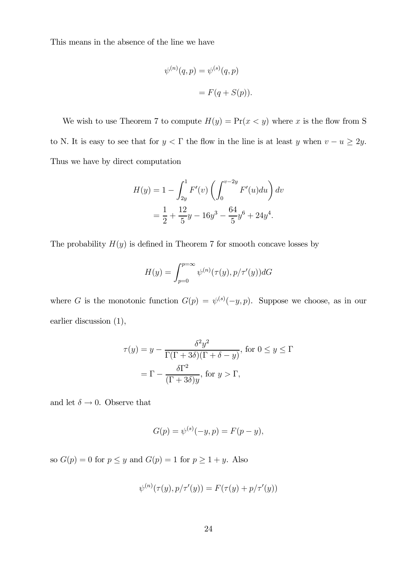This means in the absence of the line we have

$$
\psi^{(n)}(q,p) = \psi^{(s)}(q,p)
$$

$$
= F(q+S(p)).
$$

We wish to use Theorem 7 to compute  $H(y) = Pr(x < y)$  where x is the flow from S to N. It is easy to see that for  $y < \Gamma$  the flow in the line is at least y when  $v - u \ge 2y$ . Thus we have by direct computation

$$
H(y) = 1 - \int_{2y}^{1} F'(v) \left( \int_{0}^{v-2y} F'(u) du \right) dv
$$
  
=  $\frac{1}{2} + \frac{12}{5}y - 16y^3 - \frac{64}{5}y^6 + 24y^4.$ 

The probability  $H(y)$  is defined in Theorem 7 for smooth concave losses by

$$
H(y) = \int_{p=0}^{p=\infty} \psi^{(n)}(\tau(y), p/\tau'(y))dG
$$

where G is the monotonic function  $G(p) = \psi^{(s)}(-y, p)$ . Suppose we choose, as in our earlier discussion (1),

$$
\tau(y) = y - \frac{\delta^2 y^2}{\Gamma(\Gamma + 3\delta)(\Gamma + \delta - y)}, \text{ for } 0 \le y \le \Gamma
$$

$$
= \Gamma - \frac{\delta \Gamma^2}{(\Gamma + 3\delta)y}, \text{ for } y > \Gamma,
$$

and let  $\delta \rightarrow 0$ . Observe that

$$
G(p) = \psi^{(s)}(-y, p) = F(p - y),
$$

so  $G(p) = 0$  for  $p \le y$  and  $G(p) = 1$  for  $p \ge 1 + y$ . Also

$$
\psi^{(n)}(\tau(y), p/\tau'(y)) = F(\tau(y) + p/\tau'(y))
$$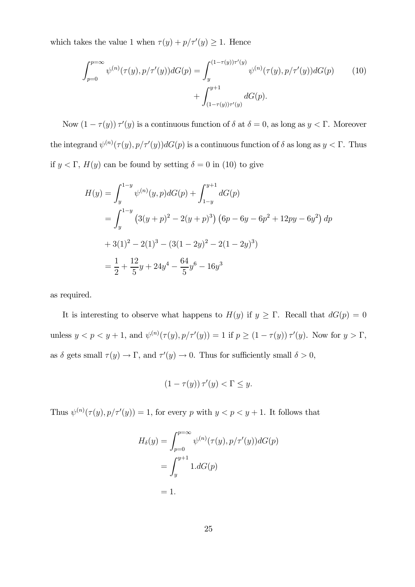which takes the value 1 when  $\tau(y) + p/\tau'(y) \geq 1$ . Hence

$$
\int_{p=0}^{p=\infty} \psi^{(n)}(\tau(y), p/\tau'(y)) dG(p) = \int_{y}^{(1-\tau(y))\tau'(y)} \psi^{(n)}(\tau(y), p/\tau'(y)) dG(p) \tag{10}
$$

$$
+ \int_{(1-\tau(y))\tau'(y)}^{y+1} dG(p).
$$

Now  $(1 - \tau(y)) \tau'(y)$  is a continuous function of  $\delta$  at  $\delta = 0$ , as long as  $y < \Gamma$ . Moreover the integrand  $\psi^{(n)}(\tau(y), p/\tau'(y))dG(p)$  is a continuous function of  $\delta$  as long as  $y < \Gamma$ . Thus if  $y < \Gamma$ ,  $H(y)$  can be found by setting  $\delta = 0$  in (10) to give

$$
H(y) = \int_{y}^{1-y} \psi^{(n)}(y, p) dG(p) + \int_{1-y}^{y+1} dG(p)
$$
  
= 
$$
\int_{y}^{1-y} (3(y+p)^2 - 2(y+p)^3) (6p - 6y - 6p^2 + 12py - 6y^2) dp
$$
  
+ 
$$
3(1)^2 - 2(1)^3 - (3(1-2y)^2 - 2(1-2y)^3)
$$
  
= 
$$
\frac{1}{2} + \frac{12}{5}y + 24y^4 - \frac{64}{5}y^6 - 16y^3
$$

as required.

It is interesting to observe what happens to  $H(y)$  if  $y \geq \Gamma$ . Recall that  $dG(p)=0$ unless  $y < p < y + 1$ , and  $\psi^{(n)}(\tau(y), p/\tau'(y)) = 1$  if  $p \ge (1 - \tau(y)) \tau'(y)$ . Now for  $y > \Gamma$ , as  $\delta$  gets small  $\tau(y) \to \Gamma$ , and  $\tau'(y) \to 0$ . Thus for sufficiently small  $\delta > 0$ ,

$$
(1 - \tau(y)) \tau'(y) < \Gamma \le y.
$$

Thus  $\psi^{(n)}(\tau(y), p/\tau'(y)) = 1$ , for every p with  $y < p < y + 1$ . It follows that

$$
H_{\delta}(y) = \int_{p=0}^{p=\infty} \psi^{(n)}(\tau(y), p/\tau'(y))dG(p)
$$

$$
= \int_{y}^{y+1} 1.dG(p)
$$

$$
= 1.
$$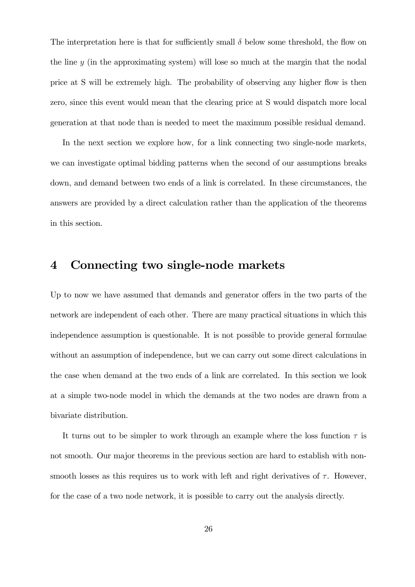The interpretation here is that for sufficiently small  $\delta$  below some threshold, the flow on the line y (in the approximating system) will lose so much at the margin that the nodal price at S will be extremely high. The probability of observing any higher flow is then zero, since this event would mean that the clearing price at S would dispatch more local generation at that node than is needed to meet the maximum possible residual demand.

In the next section we explore how, for a link connecting two single-node markets, we can investigate optimal bidding patterns when the second of our assumptions breaks down, and demand between two ends of a link is correlated. In these circumstances, the answers are provided by a direct calculation rather than the application of the theorems in this section.

### 4 Connecting two single-node markets

Up to now we have assumed that demands and generator offers in the two parts of the network are independent of each other. There are many practical situations in which this independence assumption is questionable. It is not possible to provide general formulae without an assumption of independence, but we can carry out some direct calculations in the case when demand at the two ends of a link are correlated. In this section we look at a simple two-node model in which the demands at the two nodes are drawn from a bivariate distribution.

It turns out to be simpler to work through an example where the loss function  $\tau$  is not smooth. Our major theorems in the previous section are hard to establish with nonsmooth losses as this requires us to work with left and right derivatives of  $\tau$ . However, for the case of a two node network, it is possible to carry out the analysis directly.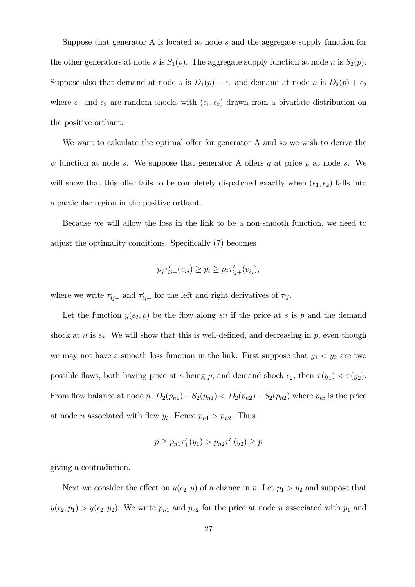Suppose that generator A is located at node s and the aggregate supply function for the other generators at node s is  $S_1(p)$ . The aggregate supply function at node n is  $S_2(p)$ . Suppose also that demand at node s is  $D_1(p) + \epsilon_1$  and demand at node n is  $D_2(p) + \epsilon_2$ where  $\epsilon_1$  and  $\epsilon_2$  are random shocks with  $(\epsilon_1, \epsilon_2)$  drawn from a bivariate distribution on the positive orthant.

We want to calculate the optimal offer for generator A and so we wish to derive the  $\psi$  function at node s. We suppose that generator A offers q at price p at node s. We will show that this offer fails to be completely dispatched exactly when  $(\epsilon_1, \epsilon_2)$  falls into a particular region in the positive orthant.

Because we will allow the loss in the link to be a non-smooth function, we need to adjust the optimality conditions. Specifically (7) becomes

$$
p_j \tau'_{ij-}(v_{ij}) \ge p_i \ge p_j \tau'_{ij+}(v_{ij}),
$$

where we write  $\tau'_{ij-}$  and  $\tau'_{ij+}$  for the left and right derivatives of  $\tau_{ij}$ .

Let the function  $y(\epsilon_2, p)$  be the flow along sn if the price at s is p and the demand shock at n is  $\epsilon_2$ . We will show that this is well-defined, and decreasing in p, even though we may not have a smooth loss function in the link. First suppose that  $y_1 < y_2$  are two possible flows, both having price at s being p, and demand shock  $\epsilon_2$ , then  $\tau(y_1) < \tau(y_2)$ . From flow balance at node  $n$ ,  $D_2(p_{n1}) - S_2(p_{n1}) < D_2(p_{n2}) - S_2(p_{n2})$  where  $p_{ni}$  is the price at node *n* associated with flow  $y_i$ . Hence  $p_{n1} > p_{n2}$ . Thus

$$
p \ge p_{n1} \tau'_+(y_1) > p_{n2} \tau'_-(y_2) \ge p
$$

giving a contradiction.

Next we consider the effect on  $y(\epsilon_2, p)$  of a change in p. Let  $p_1 > p_2$  and suppose that  $y(\epsilon_2, p_1) > y(\epsilon_2, p_2)$ . We write  $p_{n1}$  and  $p_{n2}$  for the price at node n associated with  $p_1$  and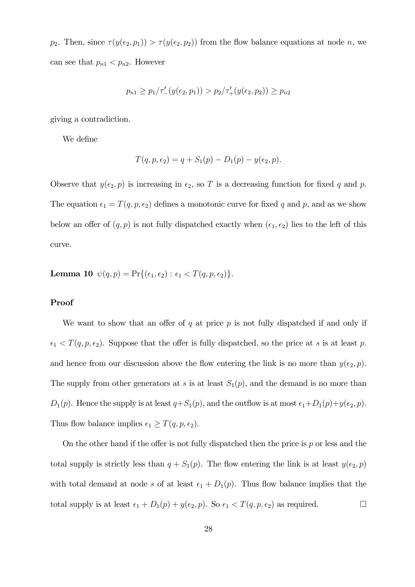p<sub>2</sub>. Then, since  $\tau(y(\epsilon_2, p_1)) > \tau(y(\epsilon_2, p_2))$  from the flow balance equations at node n, we can see that  $p_{n1} < p_{n2}$ . However

$$
p_{n1} \ge p_1/\tau'_{-}(y(\epsilon_2, p_1)) > p_2/\tau'_{+}(y(\epsilon_2, p_2)) \ge p_{n2}
$$

giving a contradiction.

We define

$$
T(q, p, \epsilon_2) = q + S_1(p) - D_1(p) - y(\epsilon_2, p).
$$

Observe that  $y(\epsilon_2, p)$  is increasing in  $\epsilon_2$ , so T is a decreasing function for fixed q and p. The equation  $\epsilon_1 = T(q, p, \epsilon_2)$  defines a monotonic curve for fixed q and p, and as we show below an offer of  $(q, p)$  is not fully dispatched exactly when  $(\epsilon_1, \epsilon_2)$  lies to the left of this curve.

**Lemma 10**  $\psi(q, p) = \Pr\{(\epsilon_1, \epsilon_2) : \epsilon_1 < T(q, p, \epsilon_2)\}.$ 

#### Proof

We want to show that an offer of  $q$  at price  $p$  is not fully dispatched if and only if  $\epsilon_1 < T(q, p, \epsilon_2)$ . Suppose that the offer is fully dispatched, so the price at s is at least p. and hence from our discussion above the flow entering the link is no more than  $y(\epsilon_2, p)$ . The supply from other generators at s is at least  $S_1(p)$ , and the demand is no more than  $D_1(p)$ . Hence the supply is at least  $q+S_1(p)$ , and the outflow is at most  $\epsilon_1+D_1(p)+y(\epsilon_2, p)$ . Thus flow balance implies  $\epsilon_1 \geq T(q, p, \epsilon_2)$ .

On the other hand if the offer is not fully dispatched then the price is  $p$  or less and the total supply is strictly less than  $q + S_1(p)$ . The flow entering the link is at least  $y(\epsilon_2, p)$ with total demand at node s of at least  $\epsilon_1 + D_1(p)$ . Thus flow balance implies that the total supply is at least  $\epsilon_1 + D_1(p) + y(\epsilon_2, p)$ . So  $\epsilon_1 < T(q, p, \epsilon_2)$  as required.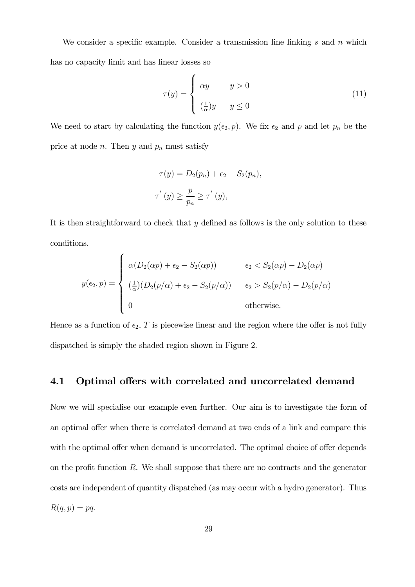We consider a specific example. Consider a transmission line linking s and n which has no capacity limit and has linear losses so

$$
\tau(y) = \begin{cases} \alpha y & y > 0 \\ \left(\frac{1}{\alpha}\right)y & y \le 0 \end{cases}
$$
\n(11)

We need to start by calculating the function  $y(\epsilon_2, p)$ . We fix  $\epsilon_2$  and p and let  $p_n$  be the price at node *n*. Then  $y$  and  $p_n$  must satisfy

$$
\tau(y) = D_2(p_n) + \epsilon_2 - S_2(p_n),
$$
  

$$
\tau'_{-}(y) \ge \frac{p}{p_n} \ge \tau'_{+}(y),
$$

It is then straightforward to check that  $y$  defined as follows is the only solution to these conditions.

$$
y(\epsilon_2, p) = \begin{cases} \alpha(D_2(\alpha p) + \epsilon_2 - S_2(\alpha p)) & \epsilon_2 < S_2(\alpha p) - D_2(\alpha p) \\ \frac{1}{\alpha} (D_2(p/\alpha) + \epsilon_2 - S_2(p/\alpha)) & \epsilon_2 > S_2(p/\alpha) - D_2(p/\alpha) \\ 0 & \text{otherwise.} \end{cases}
$$

Hence as a function of  $\epsilon_2$ , T is piecewise linear and the region where the offer is not fully dispatched is simply the shaded region shown in Figure 2.

#### 4.1 Optimal offers with correlated and uncorrelated demand

Now we will specialise our example even further. Our aim is to investigate the form of an optimal offer when there is correlated demand at two ends of a link and compare this with the optimal offer when demand is uncorrelated. The optimal choice of offer depends on the profit function  $R$ . We shall suppose that there are no contracts and the generator costs are independent of quantity dispatched (as may occur with a hydro generator). Thus  $R(q, p) = pq.$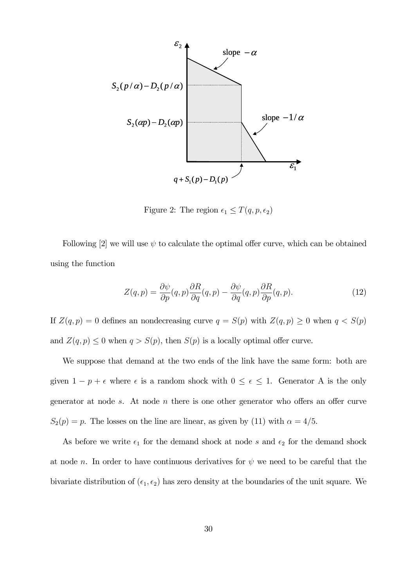

Figure 2: The region  $\epsilon_1 \leq T(q, p, \epsilon_2)$ 

Following [2] we will use  $\psi$  to calculate the optimal offer curve, which can be obtained using the function

$$
Z(q,p) = \frac{\partial \psi}{\partial p}(q,p)\frac{\partial R}{\partial q}(q,p) - \frac{\partial \psi}{\partial q}(q,p)\frac{\partial R}{\partial p}(q,p).
$$
 (12)

If  $Z(q, p) = 0$  defines an nondecreasing curve  $q = S(p)$  with  $Z(q, p) \ge 0$  when  $q < S(p)$ and  $Z(q, p) \leq 0$  when  $q > S(p)$ , then  $S(p)$  is a locally optimal offer curve.

We suppose that demand at the two ends of the link have the same form: both are given  $1 - p + \epsilon$  where  $\epsilon$  is a random shock with  $0 \le \epsilon \le 1$ . Generator A is the only generator at node s. At node  $n$  there is one other generator who offers an offer curve  $S_2(p) = p$ . The losses on the line are linear, as given by (11) with  $\alpha = 4/5$ .

As before we write  $\epsilon_1$  for the demand shock at node s and  $\epsilon_2$  for the demand shock at node n. In order to have continuous derivatives for  $\psi$  we need to be careful that the bivariate distribution of  $(\epsilon_1, \epsilon_2)$  has zero density at the boundaries of the unit square. We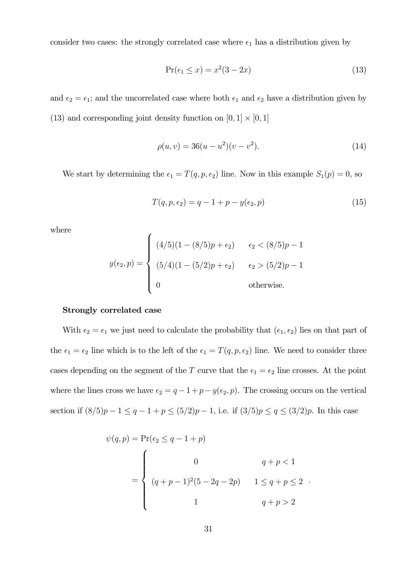consider two cases: the strongly correlated case where  $\epsilon_1$  has a distribution given by

$$
Pr(\epsilon_1 \le x) = x^2(3 - 2x) \tag{13}
$$

and  $\epsilon_2 = \epsilon_1$ ; and the uncorrelated case where both  $\epsilon_1$  and  $\epsilon_2$  have a distribution given by (13) and corresponding joint density function on  $[0, 1] \times [0, 1]$ 

$$
\rho(u, v) = 36(u - u^2)(v - v^2). \tag{14}
$$

We start by determining the  $\epsilon_1 = T(q, p, \epsilon_2)$  line. Now in this example  $S_1(p) = 0$ , so

$$
T(q, p, \epsilon_2) = q - 1 + p - y(\epsilon_2, p) \tag{15}
$$

where

$$
y(\epsilon_2, p) = \begin{cases} (4/5)(1 - (8/5)p + \epsilon_2) & \epsilon_2 < (8/5)p - 1 \\ (5/4)(1 - (5/2)p + \epsilon_2) & \epsilon_2 > (5/2)p - 1 \\ 0 & \text{otherwise.} \end{cases}
$$

#### Strongly correlated case

With  $\epsilon_2 = \epsilon_1$  we just need to calculate the probability that  $(\epsilon_1, \epsilon_2)$  lies on that part of the  $\epsilon_1 = \epsilon_2$  line which is to the left of the  $\epsilon_1 = T(q, p, \epsilon_2)$  line. We need to consider three cases depending on the segment of the T curve that the  $\epsilon_1 = \epsilon_2$  line crosses. At the point where the lines cross we have  $\epsilon_2 = q - 1 + p - y(\epsilon_2, p)$ . The crossing occurs on the vertical section if  $(8/5)p - 1 \le q - 1 + p \le (5/2)p - 1$ , i.e. if  $(3/5)p \le q \le (3/2)p$ . In this case

$$
\psi(q, p) = \Pr(\epsilon_2 \le q - 1 + p)
$$
  
= 
$$
\begin{cases} 0 & q + p < 1 \\ (q + p - 1)^2 (5 - 2q - 2p) & 1 \le q + p \le 2 \\ 1 & q + p > 2 \end{cases}
$$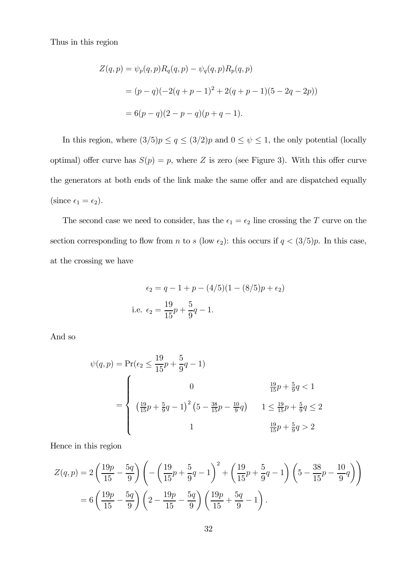Thus in this region

$$
Z(q, p) = \psi_p(q, p) R_q(q, p) - \psi_q(q, p) R_p(q, p)
$$
  
=  $(p - q)(-2(q + p - 1)^2 + 2(q + p - 1)(5 - 2q - 2p))$   
=  $6(p - q)(2 - p - q)(p + q - 1).$ 

In this region, where  $(3/5)p \le q \le (3/2)p$  and  $0 \le \psi \le 1$ , the only potential (locally optimal) offer curve has  $S(p) = p$ , where Z is zero (see Figure 3). With this offer curve the generators at both ends of the link make the same offer and are dispatched equally (since  $\epsilon_1 = \epsilon_2$ ).

The second case we need to consider, has the  $\epsilon_1 = \epsilon_2$  line crossing the T curve on the section corresponding to flow from n to s (low  $\epsilon_2$ ): this occurs if  $q < (3/5)p$ . In this case, at the crossing we have

$$
\epsilon_2 = q - 1 + p - (4/5)(1 - (8/5)p + \epsilon_2)
$$
  
i.e. 
$$
\epsilon_2 = \frac{19}{15}p + \frac{5}{9}q - 1.
$$

And so

$$
\psi(q, p) = \Pr(\epsilon_2 \le \frac{19}{15}p + \frac{5}{9}q - 1)
$$
  
= 
$$
\begin{cases} 0 & \frac{19}{15}p + \frac{5}{9}q < 1 \\ \left(\frac{19}{15}p + \frac{5}{9}q - 1\right)^2 \left(5 - \frac{38}{15}p - \frac{10}{9}q\right) & 1 \le \frac{19}{15}p + \frac{5}{9}q \le 2 \\ 1 & \frac{19}{15}p + \frac{5}{9}q > 2 \end{cases}
$$

Hence in this region

$$
Z(q,p) = 2\left(\frac{19p}{15} - \frac{5q}{9}\right)\left(-\left(\frac{19}{15}p + \frac{5}{9}q - 1\right)^2 + \left(\frac{19}{15}p + \frac{5}{9}q - 1\right)\left(5 - \frac{38}{15}p - \frac{10}{9}q\right)\right)
$$

$$
= 6\left(\frac{19p}{15} - \frac{5q}{9}\right)\left(2 - \frac{19p}{15} - \frac{5q}{9}\right)\left(\frac{19p}{15} + \frac{5q}{9} - 1\right).
$$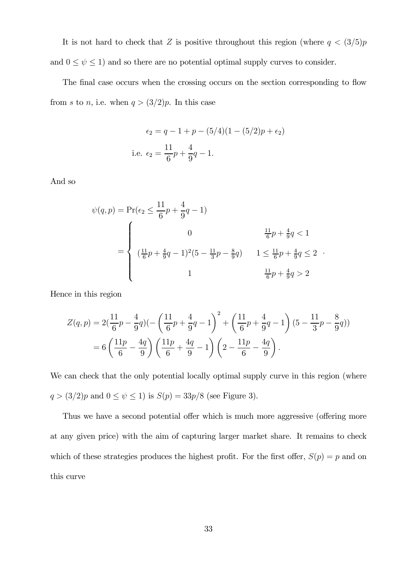It is not hard to check that Z is positive throughout this region (where  $q < (3/5)p$ and  $0 \leq \psi \leq 1$ ) and so there are no potential optimal supply curves to consider.

The final case occurs when the crossing occurs on the section corresponding to flow from s to n, i.e. when  $q > (3/2)p$ . In this case

$$
\epsilon_2 = q - 1 + p - (5/4)(1 - (5/2)p + \epsilon_2)
$$
  
i.e. 
$$
\epsilon_2 = \frac{11}{6}p + \frac{4}{9}q - 1.
$$

And so

$$
\psi(q, p) = \Pr(\epsilon_2 \le \frac{11}{6}p + \frac{4}{9}q - 1)
$$
  
= 
$$
\begin{cases} 0 & \frac{11}{6}p + \frac{4}{9}q < 1 \\ (\frac{11}{6}p + \frac{4}{9}q - 1)^2(5 - \frac{11}{3}p - \frac{8}{9}q) & 1 \le \frac{11}{6}p + \frac{4}{9}q \le 2 \\ 1 & \frac{11}{6}p + \frac{4}{9}q > 2 \end{cases}
$$

Hence in this region

$$
Z(q,p) = 2\left(\frac{11}{6}p - \frac{4}{9}q\right)\left(-\left(\frac{11}{6}p + \frac{4}{9}q - 1\right)^2 + \left(\frac{11}{6}p + \frac{4}{9}q - 1\right)\left(5 - \frac{11}{3}p - \frac{8}{9}q\right)\right)
$$
  
= 6\left(\frac{11p}{6} - \frac{4q}{9}\right)\left(\frac{11p}{6} + \frac{4q}{9} - 1\right)\left(2 - \frac{11p}{6} - \frac{4q}{9}\right).

We can check that the only potential locally optimal supply curve in this region (where  $q > (3/2)p$  and  $0 \le \psi \le 1$ ) is  $S(p) = 33p/8$  (see Figure 3).

Thus we have a second potential offer which is much more aggressive (offering more at any given price) with the aim of capturing larger market share. It remains to check which of these strategies produces the highest profit. For the first offer,  $S(p) = p$  and on this curve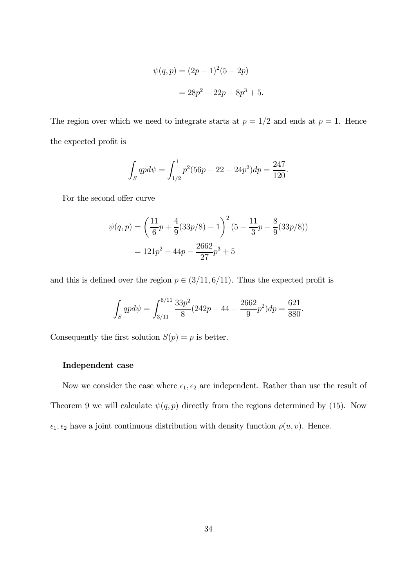$$
\psi(q, p) = (2p - 1)^2 (5 - 2p)
$$

$$
= 28p^2 - 22p - 8p^3 + 5.
$$

The region over which we need to integrate starts at  $p = 1/2$  and ends at  $p = 1$ . Hence the expected profit is

$$
\int_{S} qp d\psi = \int_{1/2}^{1} p^{2} (56p - 22 - 24p^{2}) dp = \frac{247}{120}.
$$

For the second offer curve

$$
\psi(q, p) = \left(\frac{11}{6}p + \frac{4}{9}(33p/8) - 1\right)^2 (5 - \frac{11}{3}p - \frac{8}{9}(33p/8))
$$

$$
= 121p^2 - 44p - \frac{2662}{27}p^3 + 5
$$

and this is defined over the region  $p \in (3/11, 6/11)$ . Thus the expected profit is

$$
\int_{S} qp d\psi = \int_{3/11}^{6/11} \frac{33p^2}{8} (242p - 44 - \frac{2662}{9}p^2) dp = \frac{621}{880}.
$$

Consequently the first solution  $S(p) = p$  is better.

#### Independent case

Now we consider the case where  $\epsilon_1, \epsilon_2$  are independent. Rather than use the result of Theorem 9 we will calculate  $\psi(q, p)$  directly from the regions determined by (15). Now  $\epsilon_1, \epsilon_2$  have a joint continuous distribution with density function  $\rho(u, v)$ . Hence.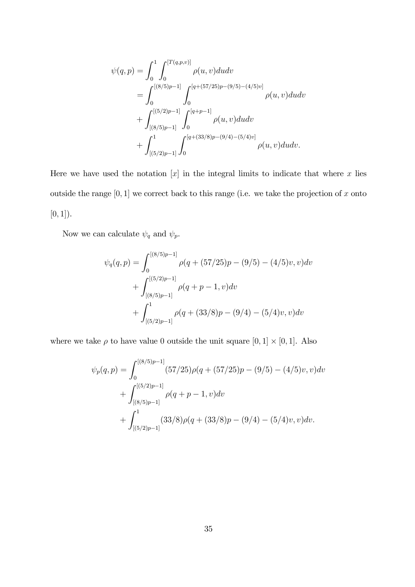$$
\psi(q,p) = \int_0^1 \int_0^{[T(q,p,v)]} \rho(u,v) du dv
$$
  
= 
$$
\int_0^{[(8/5)p-1]} \int_0^{[q+(57/25)p-(9/5)-(4/5)v]} \rho(u,v) du dv
$$
  
+ 
$$
\int_{[(8/5)p-1]}^{[(5/2)p-1]} \int_0^{[q+p-1]} \rho(u,v) du dv
$$
  
+ 
$$
\int_{[(5/2)p-1]}^1 \int_0^{[q+(33/8)p-(9/4)-(5/4)v]} \rho(u,v) du dv.
$$

Here we have used the notation  $[x]$  in the integral limits to indicate that where x lies outside the range  $[0, 1]$  we correct back to this range (i.e. we take the projection of x onto  $[0, 1]$ ).

Now we can calculate  $\psi_q$  and  $\psi_p.$ 

$$
\psi_q(q,p) = \int_0^{[(8/5)p-1]} \rho(q + (57/25)p - (9/5) - (4/5)v, v)dv
$$

$$
+ \int_{[(8/5)p-1]}^{[(5/2)p-1]} \rho(q + p - 1, v)dv
$$

$$
+ \int_{[(5/2)p-1]}^1 \rho(q + (33/8)p - (9/4) - (5/4)v, v)dv
$$

where we take  $\rho$  to have value 0 outside the unit square  $[0, 1] \times [0, 1]$ . Also

$$
\psi_p(q,p) = \int_0^{[(8/5)p-1]} (57/25)\rho(q + (57/25)p - (9/5) - (4/5)v, v)dv \n+ \int_{[(8/5)p-1]}^{[(5/2)p-1]} \rho(q + p - 1, v)dv \n+ \int_{[(5/2)p-1]}^1 (33/8)\rho(q + (33/8)p - (9/4) - (5/4)v, v)dv.
$$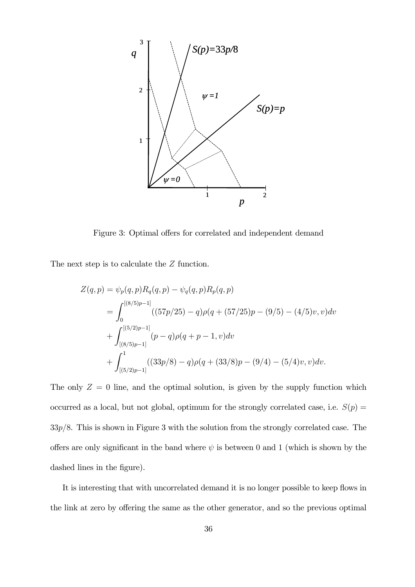

Figure 3: Optimal offers for correlated and independent demand

The next step is to calculate the  $Z$  function.

$$
Z(q, p) = \psi_p(q, p) R_q(q, p) - \psi_q(q, p) R_p(q, p)
$$
  
= 
$$
\int_0^{[(8/5)p-1]} ((57p/25) - q)\rho(q + (57/25)p - (9/5) - (4/5)v, v)dv
$$
  
+ 
$$
\int_{[(8/5)p-1]}^{[(5/2)p-1]} (p-q)\rho(q + p - 1, v)dv
$$
  
+ 
$$
\int_{[(5/2)p-1]}^1 ((33p/8) - q)\rho(q + (33/8)p - (9/4) - (5/4)v, v)dv.
$$

The only  $Z = 0$  line, and the optimal solution, is given by the supply function which occurred as a local, but not global, optimum for the strongly correlated case, i.e.  $S(p)$  =  $33p/8$ . This is shown in Figure 3 with the solution from the strongly correlated case. The offers are only significant in the band where  $\psi$  is between 0 and 1 (which is shown by the dashed lines in the figure).

It is interesting that with uncorrelated demand it is no longer possible to keep flows in the link at zero by offering the same as the other generator, and so the previous optimal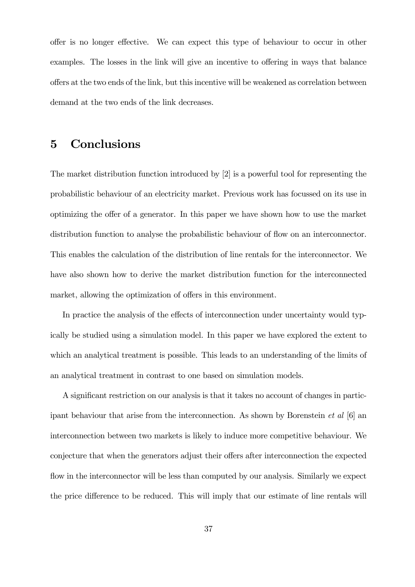offer is no longer effective. We can expect this type of behaviour to occur in other examples. The losses in the link will give an incentive to offering in ways that balance offers at the two ends of the link, but this incentive will be weakened as correlation between demand at the two ends of the link decreases.

## 5 Conclusions

The market distribution function introduced by [2] is a powerful tool for representing the probabilistic behaviour of an electricity market. Previous work has focussed on its use in optimizing the offer of a generator. In this paper we have shown how to use the market distribution function to analyse the probabilistic behaviour of flow on an interconnector. This enables the calculation of the distribution of line rentals for the interconnector. We have also shown how to derive the market distribution function for the interconnected market, allowing the optimization of offers in this environment.

In practice the analysis of the effects of interconnection under uncertainty would typically be studied using a simulation model. In this paper we have explored the extent to which an analytical treatment is possible. This leads to an understanding of the limits of an analytical treatment in contrast to one based on simulation models.

A significant restriction on our analysis is that it takes no account of changes in participant behaviour that arise from the interconnection. As shown by Borenstein et al [6] an interconnection between two markets is likely to induce more competitive behaviour. We conjecture that when the generators adjust their offers after interconnection the expected flow in the interconnector will be less than computed by our analysis. Similarly we expect the price difference to be reduced. This will imply that our estimate of line rentals will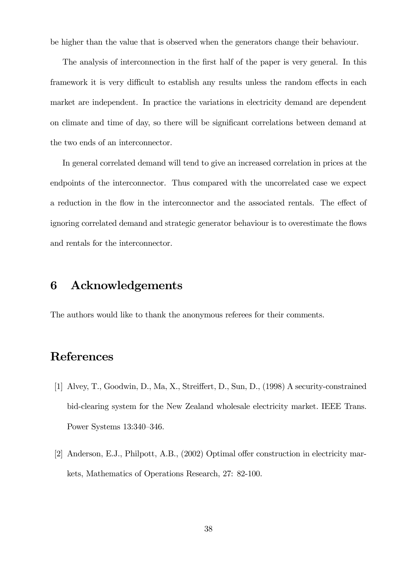be higher than the value that is observed when the generators change their behaviour.

The analysis of interconnection in the first half of the paper is very general. In this framework it is very difficult to establish any results unless the random effects in each market are independent. In practice the variations in electricity demand are dependent on climate and time of day, so there will be significant correlations between demand at the two ends of an interconnector.

In general correlated demand will tend to give an increased correlation in prices at the endpoints of the interconnector. Thus compared with the uncorrelated case we expect a reduction in the flow in the interconnector and the associated rentals. The effect of ignoring correlated demand and strategic generator behaviour is to overestimate the flows and rentals for the interconnector.

### 6 Acknowledgements

The authors would like to thank the anonymous referees for their comments.

# References

- [1] Alvey, T., Goodwin, D., Ma, X., Streiffert, D., Sun, D., (1998) A security-constrained bid-clearing system for the New Zealand wholesale electricity market. IEEE Trans. Power Systems 13:340—346.
- [2] Anderson, E.J., Philpott, A.B., (2002) Optimal offer construction in electricity markets, Mathematics of Operations Research, 27: 82-100.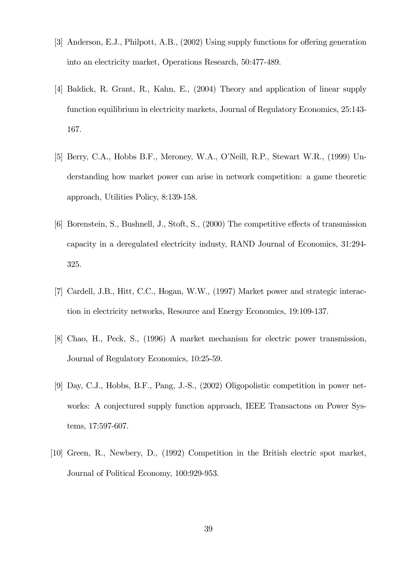- [3] Anderson, E.J., Philpott, A.B., (2002) Using supply functions for offering generation into an electricity market, Operations Research, 50:477-489.
- [4] Baldick, R. Grant, R., Kahn, E., (2004) Theory and application of linear supply function equilibrium in electricity markets, Journal of Regulatory Economics, 25:143- 167.
- [5] Berry, C.A., Hobbs B.F., Meroney, W.A., O'Neill, R.P., Stewart W.R., (1999) Understanding how market power can arise in network competition: a game theoretic approach, Utilities Policy, 8:139-158.
- [6] Borenstein, S., Bushnell, J., Stoft, S., (2000) The competitive effects of transmission capacity in a deregulated electricity industy, RAND Journal of Economics, 31:294- 325.
- [7] Cardell, J.B., Hitt, C.C., Hogan, W.W., (1997) Market power and strategic interaction in electricity networks, Resource and Energy Economics, 19:109-137.
- [8] Chao, H., Peck, S., (1996) A market mechanism for electric power transmission, Journal of Regulatory Economics, 10:25-59.
- [9] Day, C.J., Hobbs, B.F., Pang, J.-S., (2002) Oligopolistic competition in power networks: A conjectured supply function approach, IEEE Transactons on Power Systems, 17:597-607.
- [10] Green, R., Newbery, D., (1992) Competition in the British electric spot market, Journal of Political Economy, 100:929-953.